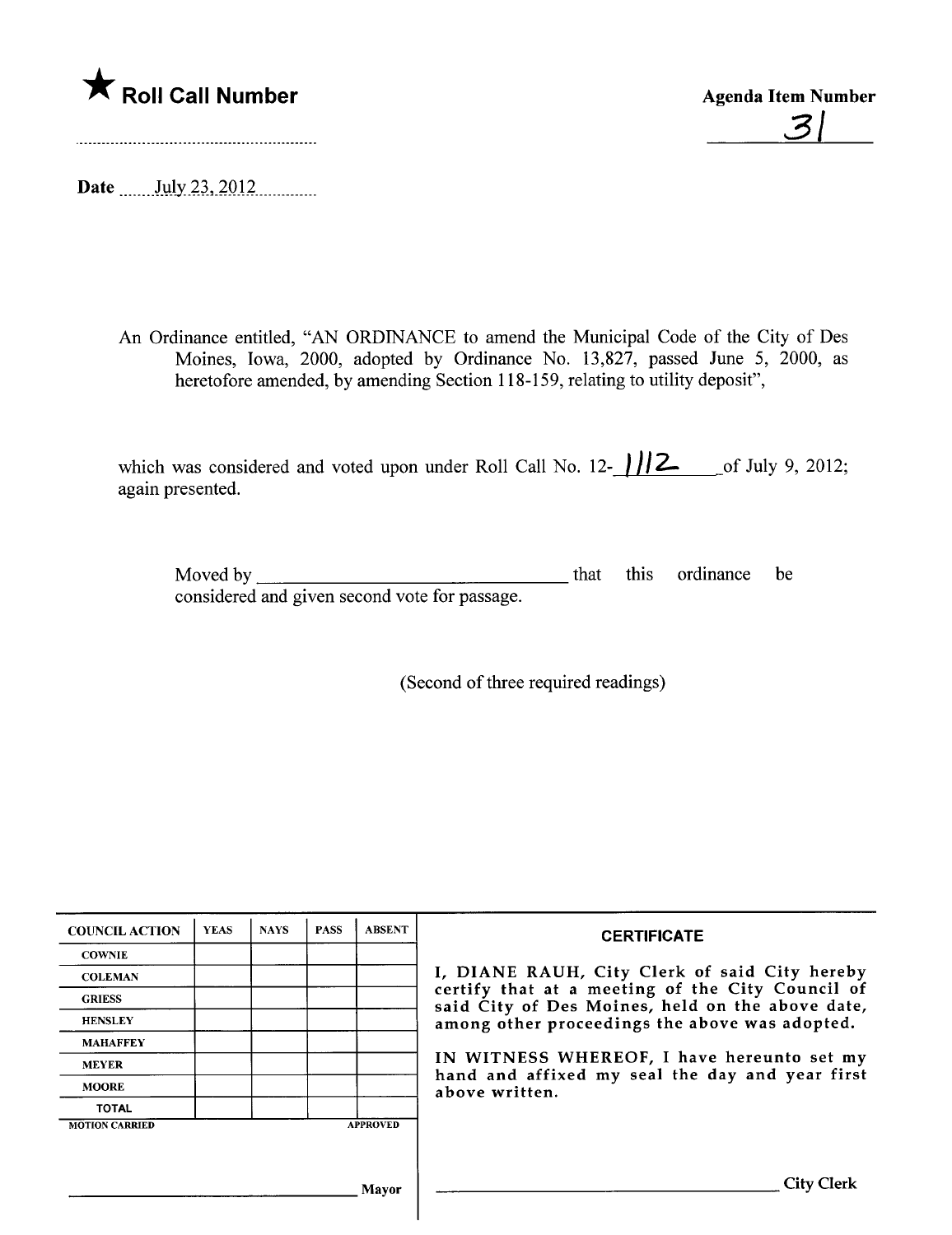

 $\mathcal{Z}_{\mathcal{A}}$ 

Date \_\_\_\_\_\_ July 23, 2012

An Ordinance entitled, "AN ORDINANCE to amend the Municipal Code of the City of Des Moines, Iowa, 2000, adopted by Ordinance No. 13,827, passed June 5, 2000, as heretofore amended, by amending Section 118-159, relating to utility deposit",

which was considered and voted upon under Roll Call No.  $12 - 112$  of July 9, 2012; again presented.

| Moved by                                      |  | that this ordinance be |  |
|-----------------------------------------------|--|------------------------|--|
| considered and given second vote for passage. |  |                        |  |

(Second of three required readings)

| <b>COUNCIL ACTION</b> | <b>YEAS</b> | <b>NAYS</b> | <b>PASS</b> | <b>ABSENT</b>   | <b>CERTIFICATE</b>                                                                                   |  |
|-----------------------|-------------|-------------|-------------|-----------------|------------------------------------------------------------------------------------------------------|--|
| <b>COWNIE</b>         |             |             |             |                 |                                                                                                      |  |
| <b>COLEMAN</b>        |             |             |             |                 | I, DIANE RAUH, City Clerk of said City hereby                                                        |  |
| <b>GRIESS</b>         |             |             |             |                 | certify that at a meeting of the City Council of<br>said City of Des Moines, held on the above date, |  |
| <b>HENSLEY</b>        |             |             |             |                 | among other proceedings the above was adopted.                                                       |  |
| <b>MAHAFFEY</b>       |             |             |             |                 |                                                                                                      |  |
| <b>MEYER</b>          |             |             |             |                 | IN WITNESS WHEREOF, I have hereunto set my                                                           |  |
| <b>MOORE</b>          |             |             |             |                 | hand and affixed my seal the day and year first<br>above written.                                    |  |
| <b>TOTAL</b>          |             |             |             |                 |                                                                                                      |  |
| <b>MOTION CARRIED</b> |             |             |             | <b>APPROVED</b> |                                                                                                      |  |
|                       |             |             |             |                 |                                                                                                      |  |
|                       |             |             |             | Mayor           | <b>City Clerk</b>                                                                                    |  |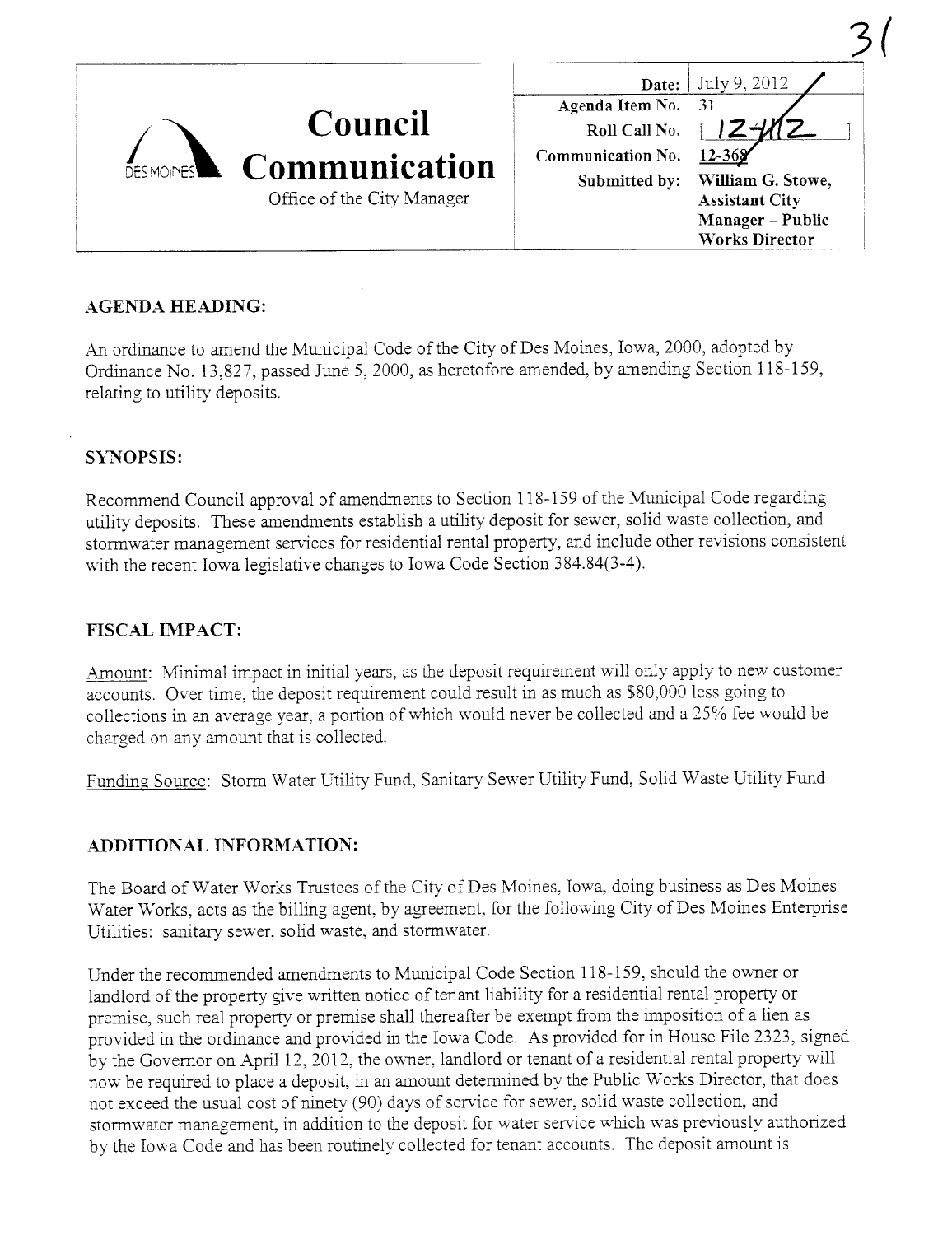

## AGENDA HEADING:

An ordinance to amend the Municipal Code of the City of Des Moines, Iowa, 2000, adopted by Ordinance No. 13,827, passed June 5, 2000, as heretofore amended, by amending Section 118-159, relating to utility deposits.

# SYNOPSIS:

Recommend Council approval of amendments to Section 118-159 of the Muncipal Code regarding utility deposits. These amendments establish a utility deposit for sewer, solid waste collection, and stormwater management services for residential rental property, and include other revisions consistent with the recent Iowa legislative changes to Iowa Code Section 384.84(3-4).

# FISCAL IMPACT:

Amount: Minmal impact in intial years, as the deposit requirement will only apply to new customer accounts. Over time, the deposit requirement could result in as much as \$80,000 less going to collections in an average year, a portion of which would never be collected and a 25% fee would be charged on any amount that is collected.

Funding Source: Storm Water Utility Fund, Santary Sewer Utility Fund, Solid Waste Utility Fund

# ADDITIONAL INFORMATION:

The Board of Water Works Trustees of the City of Des Moines, Iowa, doing business as Des Moines Water Works, acts as the billing agent, by agreement, for the following City of Des Moines Enterprise Utilities: sanitary sewer, solid waste, and stormwater.

Under the recommended amendments to Municipal Code Section 118-159, should the owner or landlord of the property give written notice of tenant liability for a residential rental property or premise, such real property or premise shall thereafter be exempt from the imposition of a lien as provided in the ordinance and provided in the Iowa Code. As provided for in House File 2323, signed by the Governor on April 12, 2012, the owner, landlord or tenant of a residential rental property will now be required to place a deposit, in an amount determined by the Public Works Director, that does not exceed the usual cost of ninety (90) days of service for sewer, solid waste collection, and stormwater management, in addition to the deposit for water service which was previously authorized by the Iowa Code and has been routinely collected for tenant accounts. The deposit amount is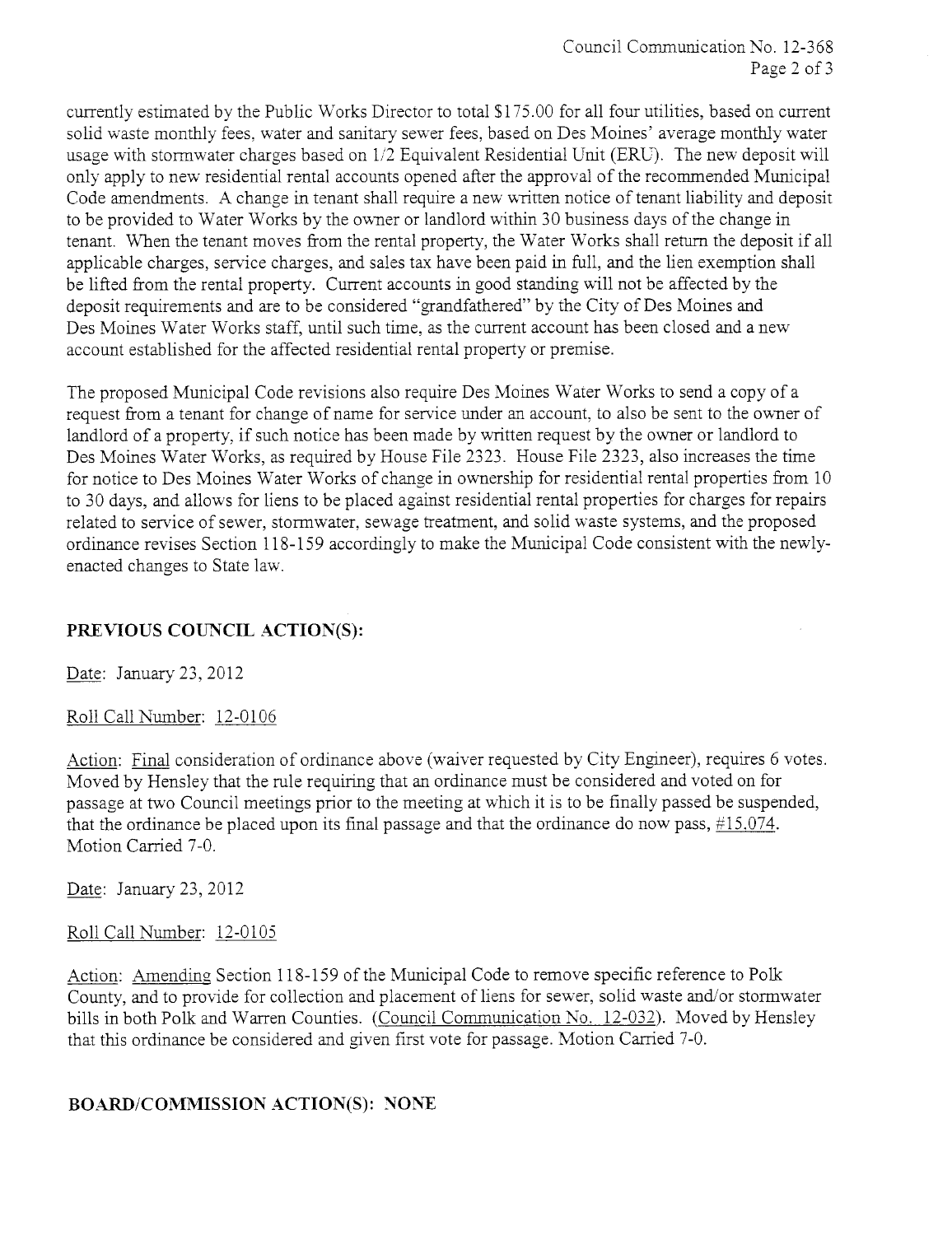curently estimated by the Public Works Director to total \$175.00 for all four utilities, based on curent solid waste monthly fees, water and santary sewer fees, based on Des Moines' average monthly water usage with stormwater charges based on 1/2 Equivalent Residential Unit (ERG). The new deposit will only apply to new residential rental accounts opened after the approval of the recommended Muncipal Code amendments. A change in tenant shall require a new written notice of tenant liability and deposit to be provided to Water Works by the owner or landlord within 30 business days of the change in tenant. When the tenant moves from the rental property, the Water Works shall return the deposit if all applicable charges, service charges, and sales tax have been paid in full, and the lien exemption shall be lifted from the rental property. Current accounts in good standing will not be affected by the deposit requirements and are to be considered "grandfathered" by the City of Des Moines and Des Moines Water Works staff, until such time, as the curent account has been closed and a new account established for the affected residential rental property or premise.

The proposed Municipal Code revisions also require Des Moines Water Works to send a copy of a request from a tenant for change of name for service under an account, to also be sent to the owner of landlord of a property, if such notice has been made by written request by the owner or landlord to Des Moines Water Works, as required by House File 2323. House File 2323, also increases the time for notice to Des Moines Water Works of change in ownership for residential rental properties from 10 to 30 days, and allows for liens to be placed against residential rental properties for charges for repairs related to service of sewer, stormwater, sewage treatment, and solid waste systems, and the proposed ordinance revises Section 118-159 accordingly to make the Muncipal Code consistent with the newlyenacted changes to State law.

## PREVIOUS COUNCIL ACTION(S):

Date: January 23, 2012

## Roll Call Number: 12-0106

Action: Final consideration of ordinance above (waiver requested by City Engineer), requires 6 votes. Moved by Hensley that the rule requiring that an ordinance must be considered and voted on for passage at two Council meetings prior to the meeting at which it is to be finally passed be suspended, that the ordinance be placed upon its final passage and that the ordinance do now pass, #15.074. Motion Carried 7-0.

Date: January 23, 2012

## Roll Call Number: 12-0105

Action: Amending Section 118-159 of the Municipal Code to remove specific reference to Polk County, and to provide for collection and placement of liens for sewer, solid waste and/or stormwater bills in both Polk and Warren Counties. (Council Communication No. 12-032). Moved by Hensley that this ordinance be considered and given first vote for passage. Motion Carried 7-0.

## BOARD/COMMISSION ACTION(S): NONE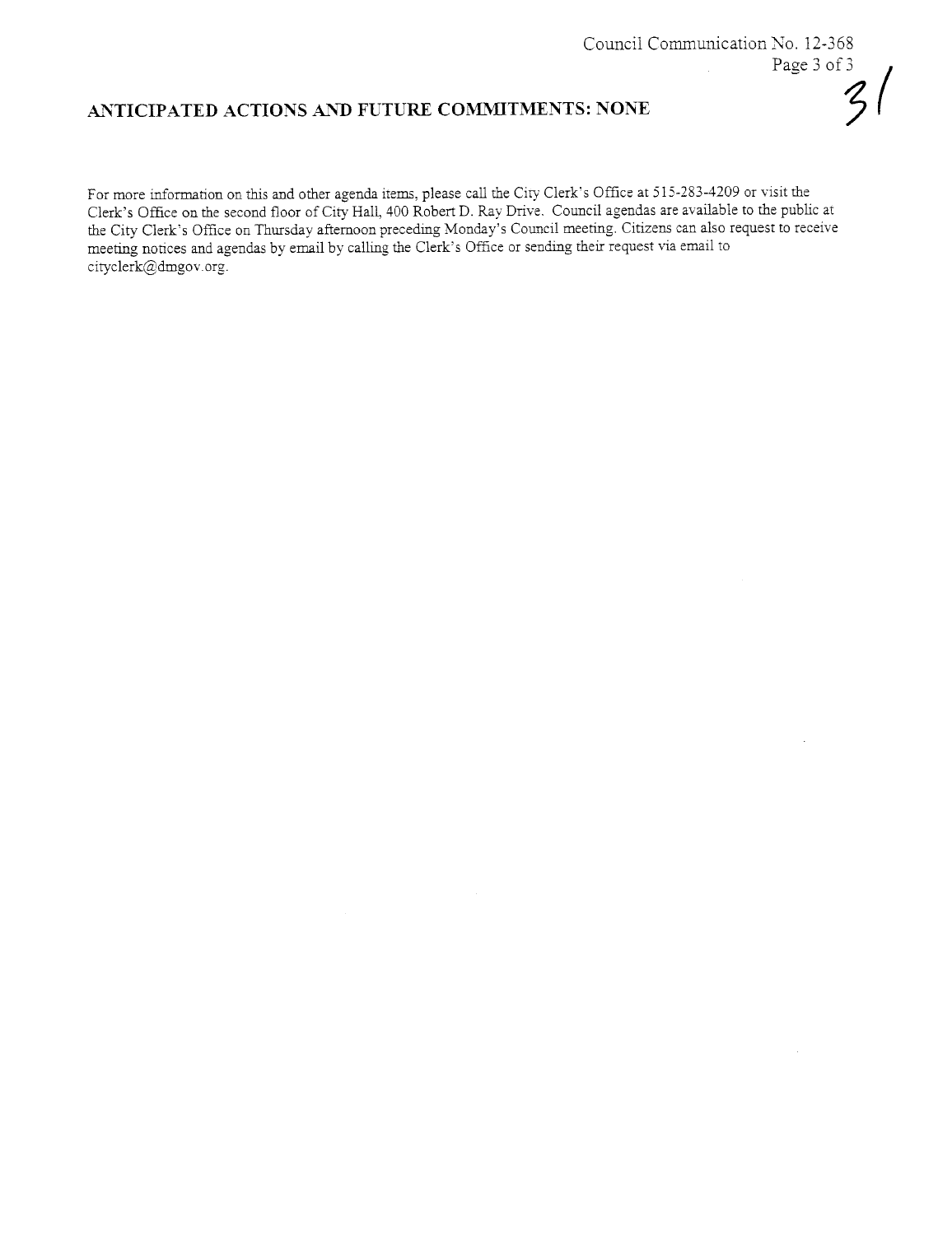#### Council Communication No. 12-368 Page 3 of 3

#### ANTICIPATED ACTIONS AND FUTURE COMMITMENTS: NONE

For more information on this and other agenda items, please call the City Clerk's Office at 515-283-4209 or visit the Clerk's Office on the second floor of City Hall, 400 Robert D. Ray Drive. Council agendas are available to the public at the City Clerk's Office on Thursday afternoon preceding Monday's Council meetig. Citizens can also request to receive meeting notices and agendas by email by calling the Clerk's Office or sending their request via email to cityclerk@dmgov.org.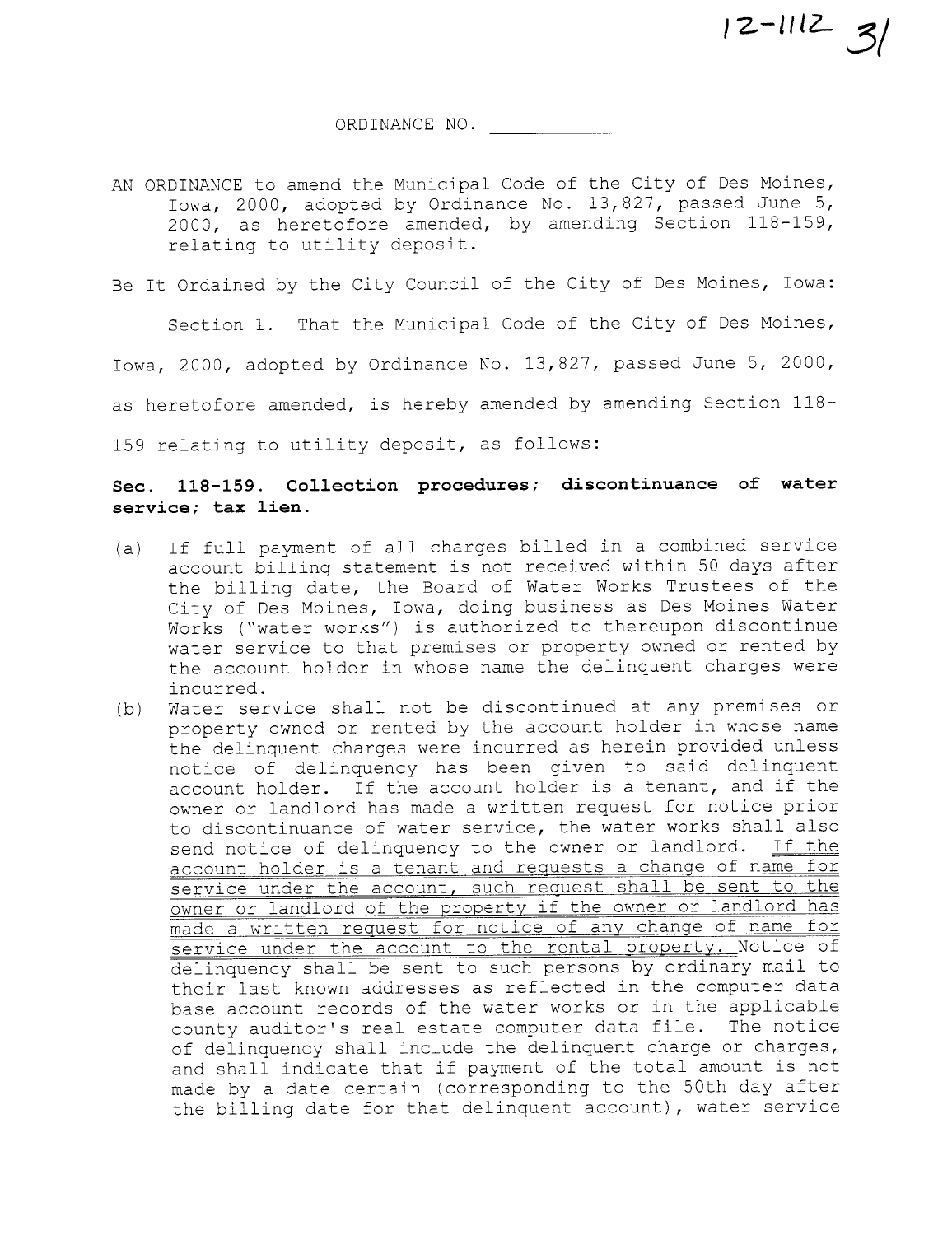ORDINANCE NO.

 $12 - 1112 - 31$ 

AN ORDINANCE to amend the Municipal Code of the City of Des Moines, Iowa, 2000, adopted by Ordinance No. 13,827, passed June 5, 2000, as heretofore amended, by amending Section 118-159, relating to utility deposit.

Be It Ordained by the City Council of the City of Des Moines, Iowa:

Section 1. That the Municipal Code of the City of Des Moines,

Iowa, 2000, adopted by Ordinance No. 13,827, passed June 5, 2000,

as heretofore amended, is hereby amended by amending Section 118-

159 relating to utility deposit, as follows:

#### Sec. 118-159. Collection procedures; discontinuance of water service; tax lien.

- (a) If full payment of all charges billed in a combined service account billing statement is not received within 50 days after the billing date, the Board of Water Works Trustees of the City of Des Moines, Iowa, doing business as Des Moines Water Works ("water works") is authorized to thereupon discontinue water service to that premises or property owned or rented by the account holder in whose name the delinquent charges were incur red.
- (b) Water service shall not be discontinued at any premises or property owned or rented by the account holder in whose name the delinquent charges were incurred as herein provided unless notice of delinquency has been given to said delinquent account holder. If the account holder is a tenant, and if the owner or landlord has made a written request for notice prior to discontinuance of water service, the water works shall also send notice of delinquency to the owner or landlord. If the account holder is a tenant and requests a change of name for service under the account, such request shall be sent to the owner or landlord of the property if the owner or landlord has made a written request for notice of any change of name for service under the account to the rental property. Notice of delinquency shall be sent to such persons by ordinary mail to their last known addresses as reflected in the computer data base account records of the water works or in the applicable county auditor's real estate computer data file. The notice of delinquency shall include the delinquent charge or charges, and shall indicate that if payment of the total amount is not made by a date certain (corresponding to the 50th day after the billing date for that delinquent account), water service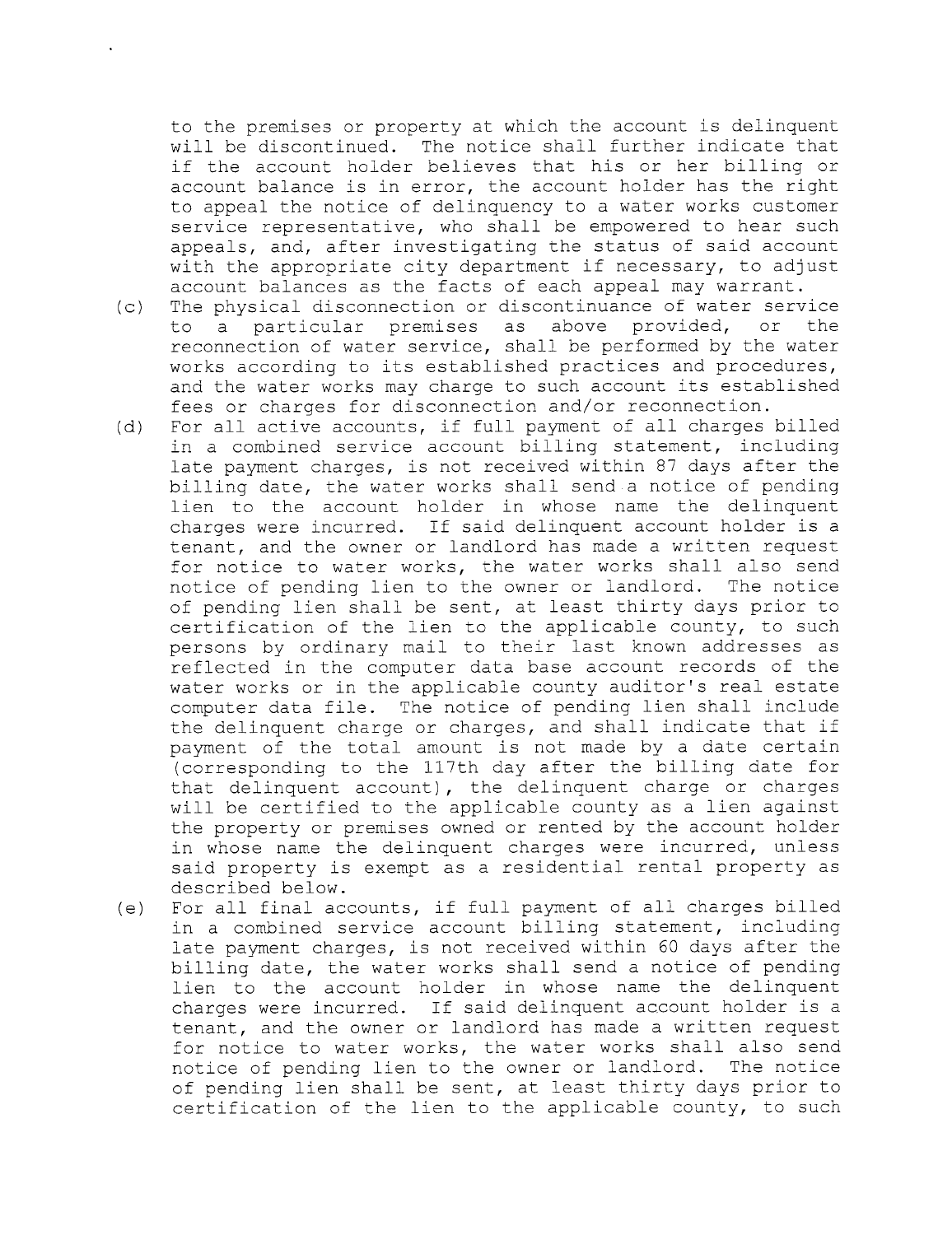to the premises or property at which the account is delinquent will be discontinued. The notice shall further indicate that if the account holder believes that his or her billing or account balance is in error, the account holder has the right to appeal the notice of delinquency to a water works customer service representative, who shall be empowered to hear such appeals, and, after investigating the status of said account with the appropriate city department if necessary, to adjust account balances as the facts of each appeal may warrant.

- (c) The physical disconnection or discontinuance of water service<br>to a particular premises as above provided, or the a particular premises as above provided, or the reconnection of water service, shall be performed by the water works according to its established practices and procedures, and the water works may charge to such account its established fees or charges for disconnection and/or reconnection.
- (d) For all active accounts, if full payment of all charges billed in a combined service account billing statement, including late payment charges, is not received within 87 days after the billing date, the water works shall send a notice of pending lien to the account holder in whose name the delinquent charges were incurred. If said delinquent account holder is a tenant, and the owner or landlord has made a written request for notice to water works, the water works shall also send notice of pending lien to the owner or landlord. The notice of pending lien shall be sent, at least thirty days prior to certification of the lien to the applicable county, to such persons by ordinary mail to their last known addresses as reflected in the computer data base account records of the water works or in the applicable county auditor's real estate computer data file. The notice of pending lien shall include the delinquent charge or charges, and shall indicate that if payment of the total amount is not made by a date certain (corresponding to the 117th day after the billing date for that delinquent account), the delinquent charge or charges will be certified to the applicable county as a lien against the property or premises owned or rented by the account holder in whose name the delinquent charges were incurred, unless said property is exempt as a residential rental property as described below.
- (e) For all final accounts, if full payment of all charges billed in a combined service account billing statement, including late payment charges, is not received within 60 days after the billing date, the water works shall send a notice of pending lien to the account holder in whose name the delinquent charges were incurred. If said delinquent account holder is a tenant, and the owner or landlord has made a written request for notice to water works, the water works shall also send notice of pending lien to the owner or landlord. The notice of pending lien shall be sent, at least thirty days prior to certification of the lien to the applicable county, to such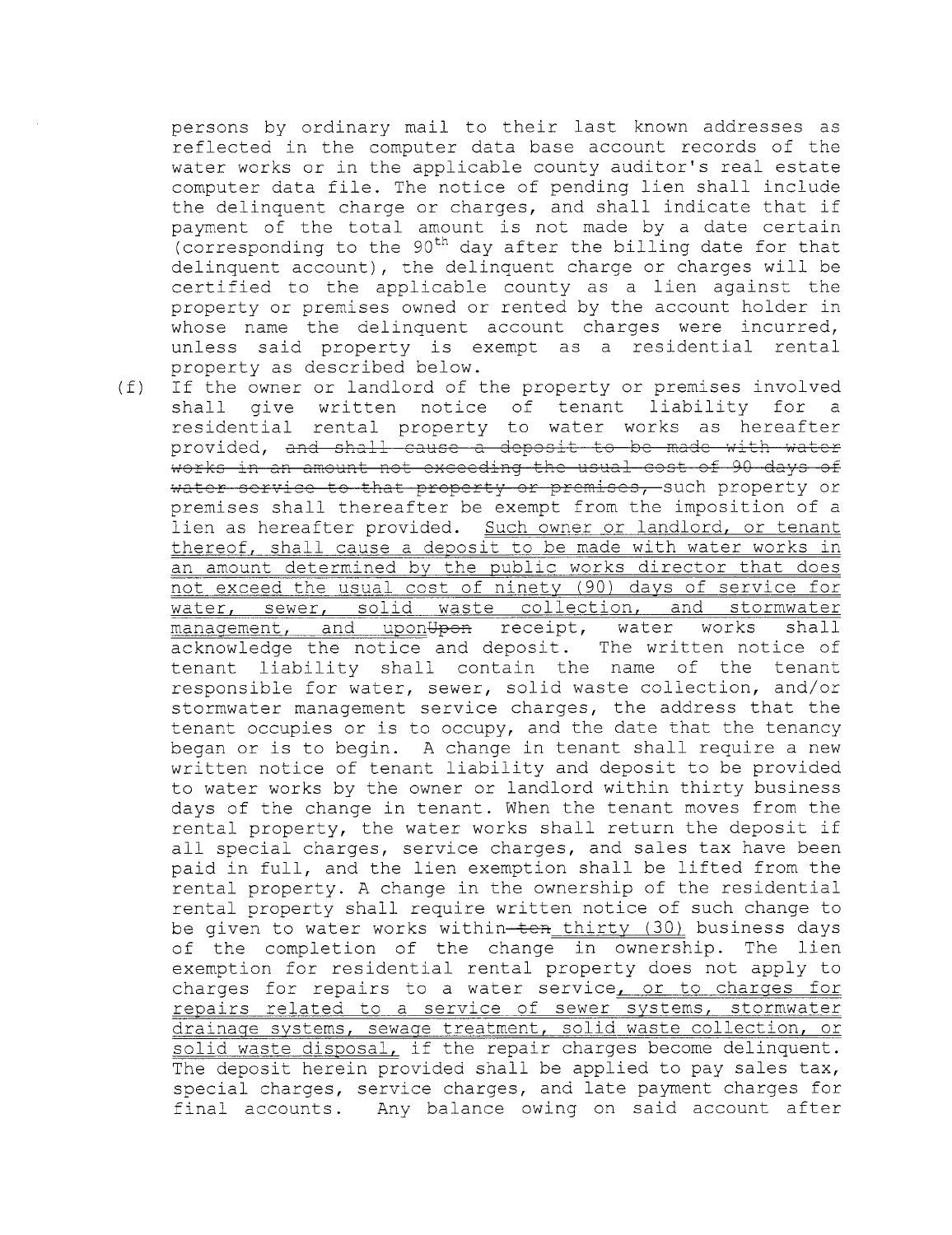persons by ordinary mail to their last known addresses as reflected in the computer data base account records of the water works or in the applicable county auditor's real estate computer data file. The notice of pending lien shall include the delinquent charge or charges, and shall indicate that if payment of the total amount is not made by a date certain (corresponding to the  $90<sup>th</sup>$  day after the billing date for that delinquent account), the delinquent charge or charges will be certified to the applicable county as a lien against the property or premises owned or rented by the account holder in whose name the delinquent account charges were incurred, unless said property is exempt as a residential rental property as described below.

(f) If the owner or landlord of the property or premises involved shall give written notice of tenant liability for a residential rental property to water works as hereafter provided, and shall cause a deposit to be made with water works in an amount not exceeding the usual cost of 90 days of water service to that property or premises, such property or premises shall thereafter be exempt from the imposition of a lien as hereafter provided. Such owner or landlord, or tenant thereof, shall cause a deposit to be made with water works in an amount determined by the public works director that does not exceed the usual cost of ninety (90) days of service for water, sewer, solid waste collection, and stormwater management, and upon Upon receipt, water works shall acknowledge the notice and deposit. The written notice of tenant liability shall contain the name of the tenant responsible for water, sewer, solid waste collection, and/or stormwater management service charges, the address that the tenant occupies or is to occupy, and the date that the tenancy began or is to begin. A change in tenant shall require a new written notice of tenant liability and deposit to be provided to water works by the owner or landlord within thirty business days of the change in tenant. When the tenant moves from the rental property, the water works shall return the deposit if all special charges, service charges, and sales tax have been paid in full, and the lien exemption shall be lifted from the rental property. A change in the ownership of the residential rental property shall require written notice of such change to be given to water works within-ten\_thirty (30) business days of the completion of the change in ownership. The lien exemption for residential rental property does not apply to charges for repairs to a water service, or to charges for repairs related to a service of sewer systems, stormwater drainage systems, sewage treatment, solid waste collection, or solid waste disposal, if the repair charges become delinquent. The deposit herein provided shall be applied to pay sales tax, special charges, service charges, and late payment charges for final accounts. Any balance owing on said account after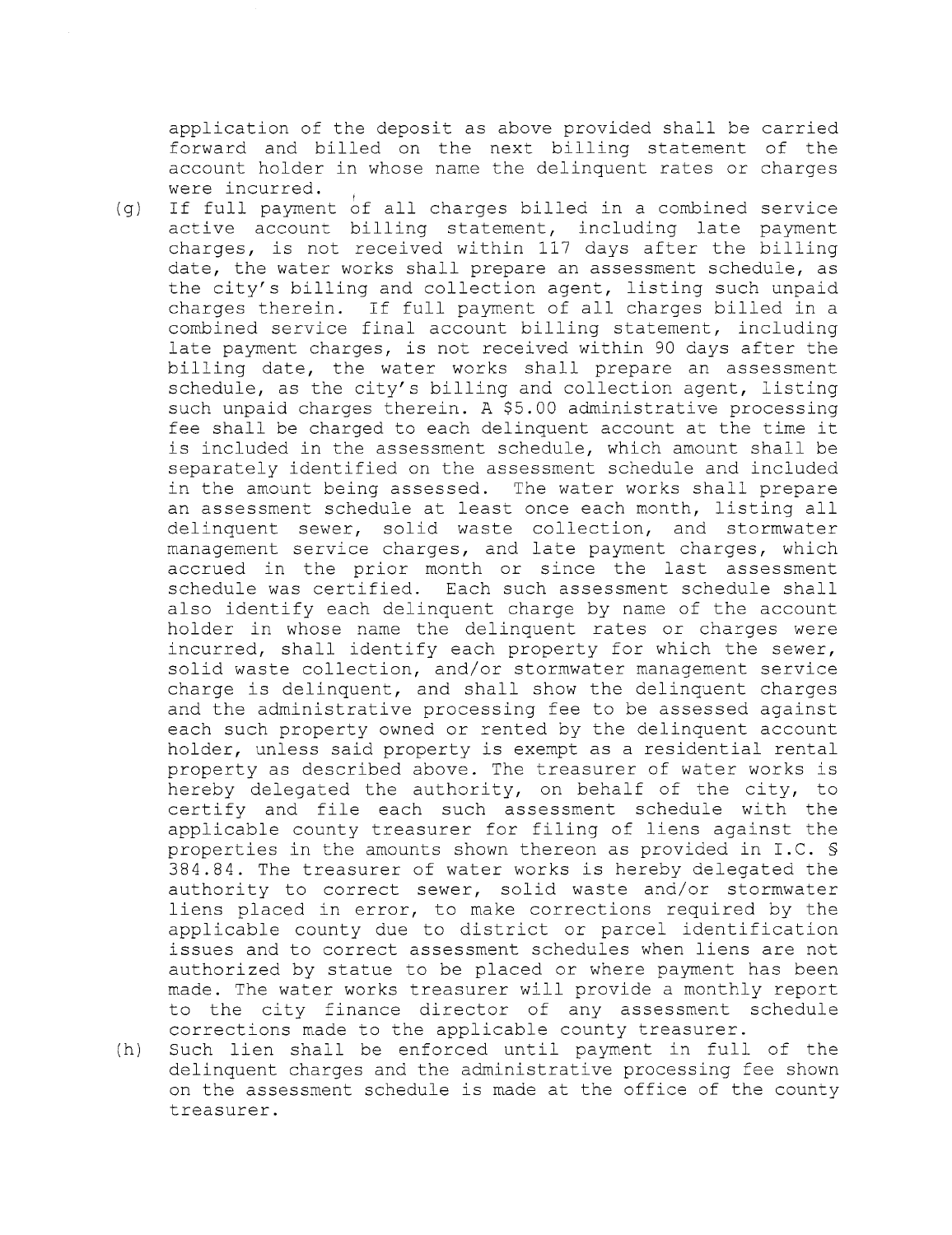application of the deposit as above provided shall be carried forward and billed on the next billing statement of the account holder in whose name the delinquent rates or charges were incurred.

- (g) If full payment of all charges billed in a combined service active account billing statement, including late payment charges, is not received within 117 days after the billing date, the water works shall prepare an assessment schedule, as the city's billing and collection agent, listing such unpaid charges therein. If full payment of all charges billed in a combined service final account billing statement, including late payment charges, is not received within 90 days after the billing date, the water works shall prepare an assessment schedule, as the city's billing and collection agent, listing such unpaid charges therein. A \$5. 00 administrative processing fee shall be charged to each delinquent account at the time it is included in the assessment schedule, which amount shall be separately identified on the assessment schedule and included in the amount being assessed. The water works shall prepare an assessment schedule at least once each month, listing all delinquent sewer, solid waste collection, and stormwater management service charges, and late payment charges, which accrued in the prior month or since the last assessment schedule was certified. Each such assessment schedule shall also identify each delinquent charge by name of the account holder in whose name the delinquent rates or charges were incurred, shall identify each property for which the sewer, solid waste collection, and/or stormwater management service charge is delinquent, and shall show the delinquent charges and the administrative processing fee to be assessed against each such property owned or rented by the delinquent account holder, unless said property is exempt as a residential rental property as described above. The treasurer of water works is hereby delegated the authority, on behalf of the city, to certify and file each such assessment schedule with the applicable county treasurer for filing of liens against the properties in the amounts shown thereon as provided in I.C. § 384.84. The treasurer of water works is hereby delegated the authority to correct sewer, solid waste and/or stormwater liens placed in error, to make corrections required by the applicable county due to district or parcel identification issues and to correct assessment schedules when liens are not authorized by statue to be placed or where payment has been made. The water works treasurer will provide a monthly report to the city finance director of any assessment schedule corrections made to the applicable county treasurer.
- (h) Such lien shall be enforced until payment in full of the delinquent charges and the administrative processing fee shown on the assessment schedule is made at the office of the county treasurer.